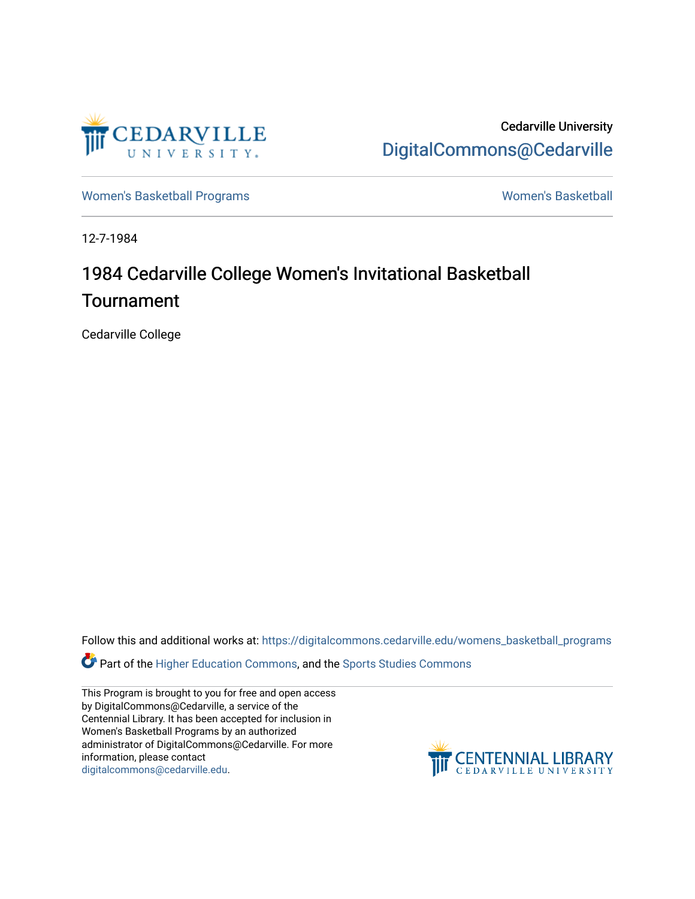

Cedarville University [DigitalCommons@Cedarville](https://digitalcommons.cedarville.edu/) 

[Women's Basketball Programs](https://digitalcommons.cedarville.edu/womens_basketball_programs) North Communication and Momen's Basketball

12-7-1984

### 1984 Cedarville College Women's Invitational Basketball Tournament

Cedarville College

Follow this and additional works at: [https://digitalcommons.cedarville.edu/womens\\_basketball\\_programs](https://digitalcommons.cedarville.edu/womens_basketball_programs?utm_source=digitalcommons.cedarville.edu%2Fwomens_basketball_programs%2F157&utm_medium=PDF&utm_campaign=PDFCoverPages)

Part of the [Higher Education Commons,](http://network.bepress.com/hgg/discipline/1245?utm_source=digitalcommons.cedarville.edu%2Fwomens_basketball_programs%2F157&utm_medium=PDF&utm_campaign=PDFCoverPages) and the [Sports Studies Commons](http://network.bepress.com/hgg/discipline/1198?utm_source=digitalcommons.cedarville.edu%2Fwomens_basketball_programs%2F157&utm_medium=PDF&utm_campaign=PDFCoverPages) 

This Program is brought to you for free and open access by DigitalCommons@Cedarville, a service of the Centennial Library. It has been accepted for inclusion in Women's Basketball Programs by an authorized administrator of DigitalCommons@Cedarville. For more information, please contact [digitalcommons@cedarville.edu](mailto:digitalcommons@cedarville.edu).

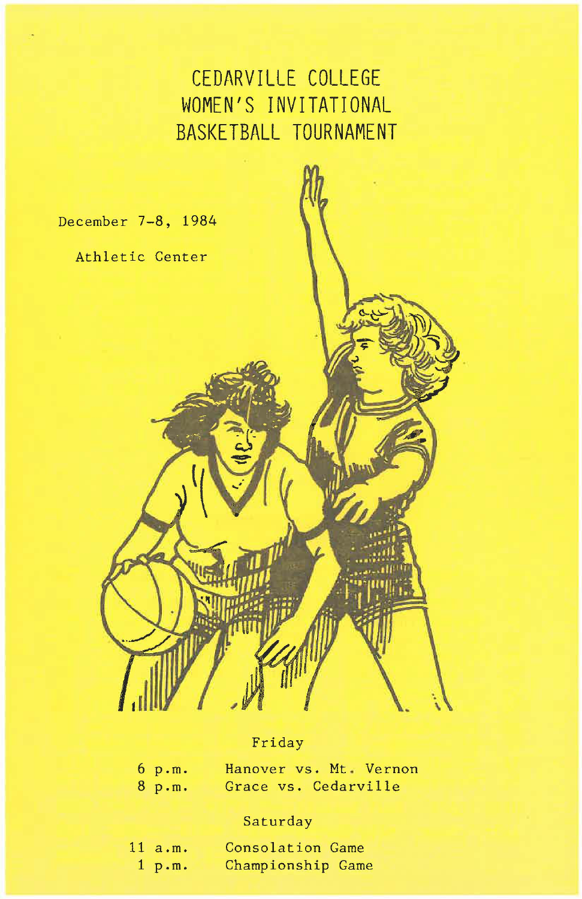### **CEDARVILLE COLLEGE WOMEN <sup>1</sup> S INVITATIONAL BASKETBALL TOURNAMENT**

December 7-8, 1984

Athletic Center

#### Friday

| $6$ p.m. | Hanover vs. Mt Vernon |  |  |
|----------|-----------------------|--|--|
| $8$ p.m. | Grace vs. Cedarville  |  |  |

#### Saturday

| 11 a.m. | Consolation Game  |  |
|---------|-------------------|--|
| 1 p.m.  | Championship Game |  |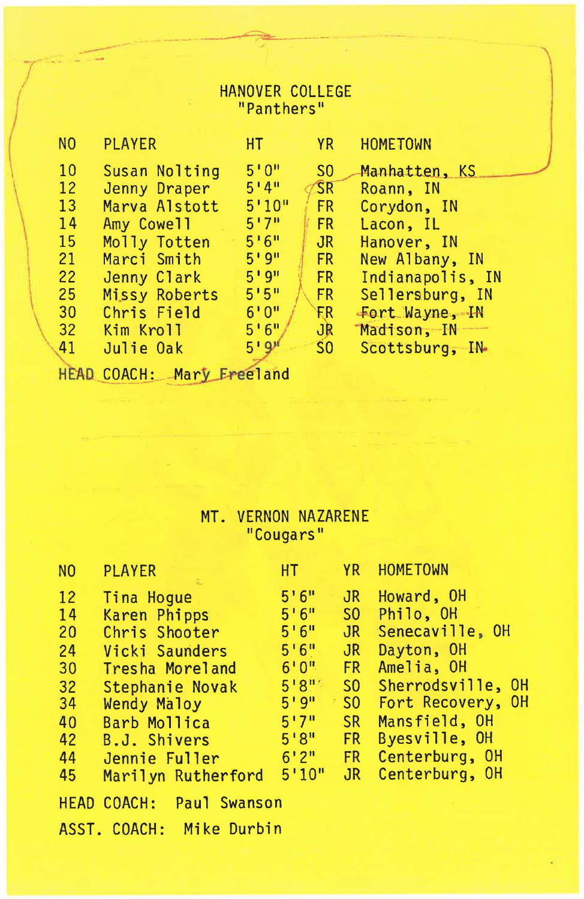## HANOVER COLLEGE<br>"Panthers"

| N <sub>0</sub>               | <b>PLAYER</b> | HT.    | <b>YR</b>      | <b>HOMETOWN</b>  |
|------------------------------|---------------|--------|----------------|------------------|
| 10                           | Susan Nolting | 5'0''  | S <sub>0</sub> | Manhatten, KS    |
| 12                           | Jenny Draper  | 5'4''  | <b>SR</b>      | Roann, IN        |
| 13                           | Marva Alstott | 5'10'' | FR.            | Corydon, IN      |
| 14                           | Amy Cowell    | 5'7''  | FR.            | Lacon, IL        |
| 15                           | Molly Totten  | 5.6"   | $J_{\rm R}$    | Hanover, IN      |
| 21                           | Marci Smith   | 5'9''  | FR.            | New Albany, IN   |
| 22                           | Jenny Clark   | 5'9''  | FR.            | Indianapolis, IN |
| 25                           | Missy Roberts | 5'5''  | FR.            | Sellersburg, IN  |
| 30                           | Chris Field   | 6'0''  | <b>FR</b>      | Fort Wayne, IN   |
| 32                           | Kim Kroll     | 5'6''  | JR             | Madison, IN      |
| 41                           | Julie Oak     | 5'9''  | S <sub>0</sub> | Scottsburg, IN-  |
| <b><i>A A AM AN AN A</i></b> |               |        |                |                  |

HEAD COACH: Mary Freeland

# MT. VERNON NAZARENE<br>"Cougars"

| N <sub>0</sub> | <b>PLAYER</b>                             | НT     | YR              | <b>HOMETOWN</b>   |
|----------------|-------------------------------------------|--------|-----------------|-------------------|
| 12             | Tina Hogue                                | 5'6''  | J <sub>R</sub>  | Howard, OH        |
| 14             | Karen Phipps                              | 5'6''  | S <sub>0</sub>  | Philo, OH         |
| 20             | Chris Shooter                             | 5'6''  | $J_{R}$         | Senecaville, OH   |
| 24             | Vicki Saunders                            | 5.6"   | $J_{\rm R}$     | Dayton, OH        |
| 30             | Tresha Moreland                           | 6'0''  | <b>FR</b>       | Amelia, OH        |
| 32             | Stephanie Novak                           | 5'8"   | SO <sub>2</sub> | Sherrodsville, OH |
| 34             | Wendy Maloy                               | 5'9''  | SO <sub>2</sub> | Fort Recovery, OH |
| 40             | Barb Mollica                              | 5'7''  | SR.             | Mansfield, OH     |
| 42             | B.J. Shivers                              | 5'8''  | FR.             | Byesville, OH     |
| 44             | Jennie Fuller                             | 6'2''  | FR.             | Centerburg, OH    |
| 45             | Marilyn Rutherford                        | 5'10'' | J <sub>R</sub>  | Centerburg, OH    |
|                | <b>HEAD COACH:</b><br><b>Paul Swanson</b> |        |                 |                   |
|                | Mike Durbin<br>ASST. COACH:               |        |                 |                   |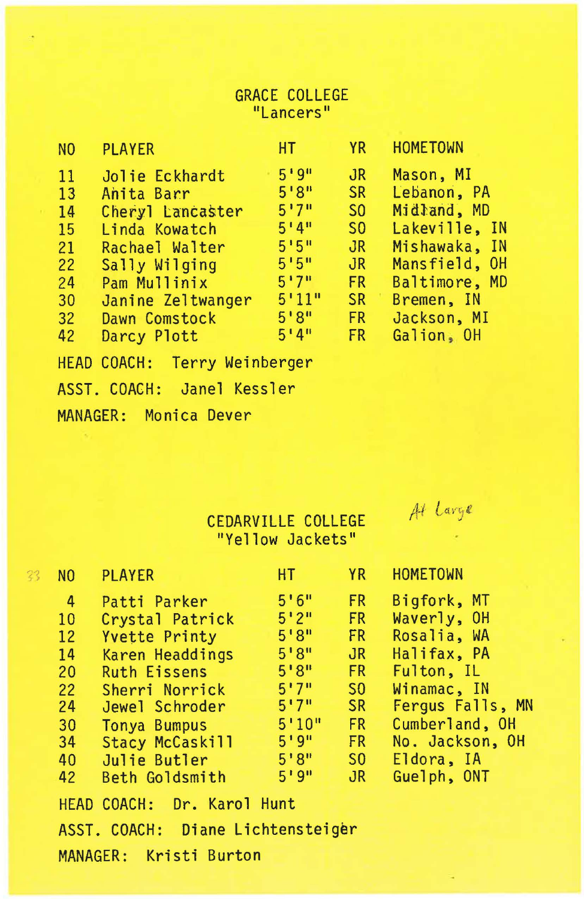#### **GRACE COLLEGE** "Lancers"

| N <sub>0</sub> | <b>PLAYER</b>                | HT.   | <b>YR</b>      | <b>HOMETOWN</b> |
|----------------|------------------------------|-------|----------------|-----------------|
| 11             | Jolie Eckhardt               | 5'9'' | J <sub>R</sub> | Mason, MI       |
| 13             | Anita Barr                   | 5'8'' | <b>SR</b>      | Lebanon, PA     |
| 14             | Cheryl Lancaster             | 5'7'' | S <sub>0</sub> | Midland, MD     |
| 15             | Linda Kowatch                | 5'4'' | S <sub>0</sub> | Lakeville, IN   |
| 21             | Rachael Walter               | 5!5"  | JR             | Mishawaka, IN   |
| 22             | Sally Wilging                | 5'5'' | JR             | Mansfield, OH   |
| 24             | Pam Mullinix                 | 5'7'' | <b>FR</b>      | Baltimore, MD   |
| 30             | Janine Zeltwanger            | 5'11" | <b>SR</b>      | Bremen, IN      |
| 32             | Dawn Comstock                | 5'8'' | <b>FR</b>      | Jackson, MI     |
| 42             | Darcy Plott                  | 5'4'' | <b>FR</b>      | Galion, OH      |
|                | HEAD COACH: Terry Weinberger |       |                |                 |

ASST. COACH: Janel Kessler

MANAGER: Monica Dever

CEDARVILLE COLLEGE "Yellow Jackets"

At Large

| N <sub>0</sub>  | <b>PLAYER</b>                     | HT.    |                 | YR HOMETOWN      |
|-----------------|-----------------------------------|--------|-----------------|------------------|
| 4               | Patti Parker                      | 5'6''  | FR.             | Bigfork, MT      |
| 10              | Crystal Patrick                   | 5'2''  | FR.             | Waverly, OH      |
| 12              | <b>Yvette Printy</b>              | 5'8''  | FR.             | Rosalia, WA      |
| 14              | Karen Headdings                   | 5'8''  | JR              | Halifax, PA      |
| 20 <sup>2</sup> | <b>Ruth Eissens</b>               | 5'8''  | FR.             | Fulton, IL       |
|                 | 22 Sherri Norrick                 | 5'7''  | S <sub>0</sub>  | Winamac, IN      |
| 24              | Jewel Schroder                    | 5'7''  | <b>SR</b>       | Fergus Falls, MN |
| 30 <sup>°</sup> | Tonya Bumpus                      | 5'10'' | FR              | Cumberland, OH   |
| 34              | Stacy McCaskill                   | 519"   | FR -            | No. Jackson, OH  |
| 40              | Julie Butler                      | 5'8''  | SO <sub>2</sub> | Eldora, IA       |
| 42              | Beth Goldsmith                    | 5'9''  | $J_{\rm R}$     | Guelph, ONT      |
|                 | HEAD COACH: Dr. Karol Hunt        |        |                 |                  |
|                 | ASST. COACH: Diane Lichtensteiger |        |                 |                  |
|                 | MANAGER: Kristi Burton            |        |                 |                  |